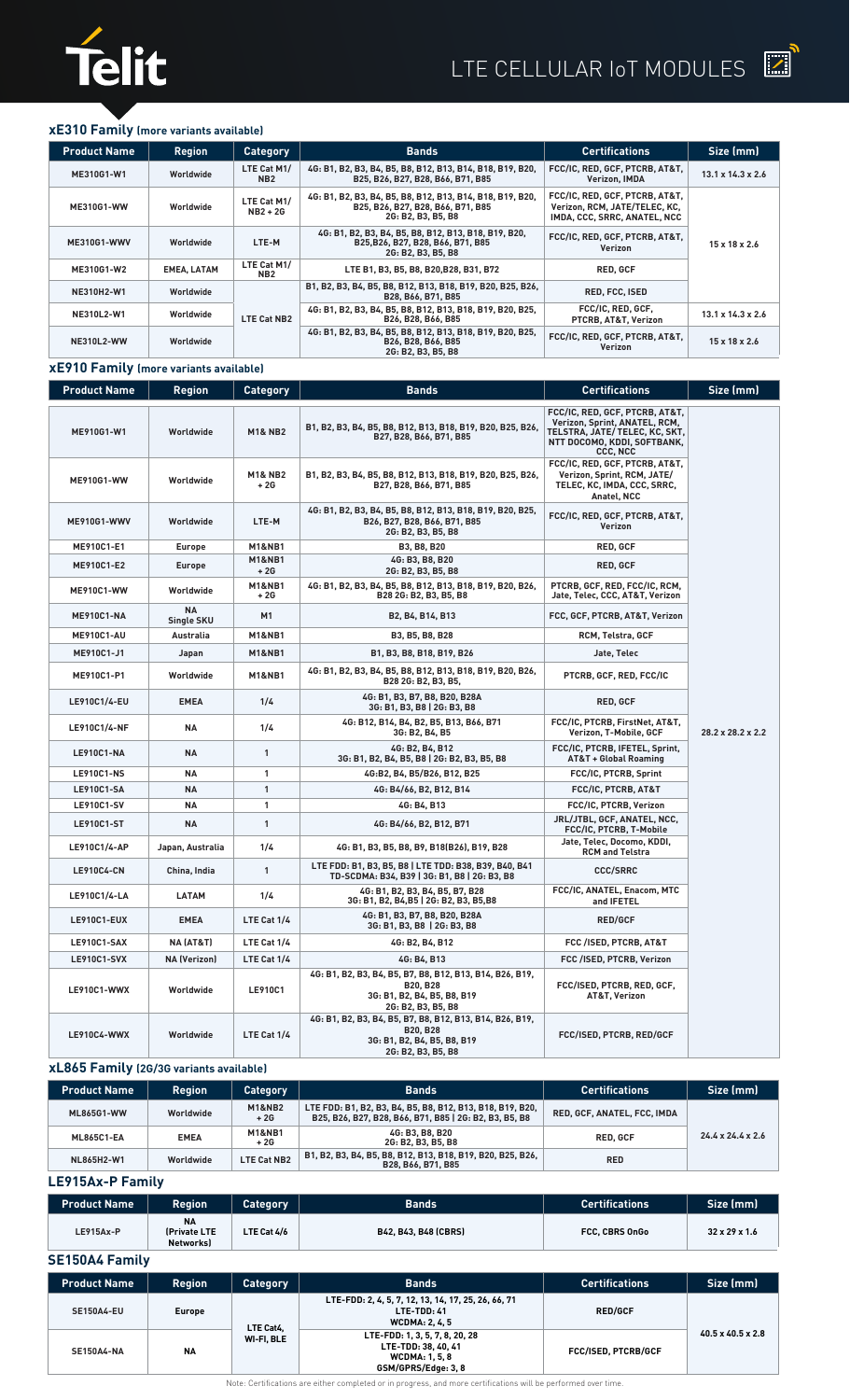



### **xE310 Family (more variants available)**

| <b>Product Name</b> | <b>Region</b>      | <b>Category</b>                | <b>Bands</b>                                                                                                                                             | <b>Certifications</b>                                                                           | Size (mm)                     |
|---------------------|--------------------|--------------------------------|----------------------------------------------------------------------------------------------------------------------------------------------------------|-------------------------------------------------------------------------------------------------|-------------------------------|
| ME310G1-W1          | Worldwide          | LTE Cat M1/<br>NB <sub>2</sub> | 4G: B1, B2, B3, B4, B5, B8, B12, B13, B14, B18, B19, B20,<br>B25, B26, B27, B28, B66, B71, B85                                                           | FCC/IC, RED, GCF, PTCRB, AT&T,<br>Verizon, IMDA                                                 | $13.1 \times 14.3 \times 2.6$ |
| <b>ME310G1-WW</b>   | Worldwide          | LTE Cat M1/<br>$NB2+2G$        | 4G: B1, B2, B3, B4, B5, B8, B12, B13, B14, B18, B19, B20,<br>B25, B26, B27, B28, B66, B71, B85<br>2G: B2, B3, B5, B8                                     | FCC/IC, RED, GCF, PTCRB, AT&T,<br>Verizon, RCM, JATE/TELEC, KC.<br>IMDA, CCC, SRRC, ANATEL, NCC |                               |
| <b>ME310G1-WWV</b>  | Worldwide          | LTE-M                          | 4G: B1, B2, B3, B4, B5, B8, B12, B13, B18, B19, B20,<br>B25, B26, B27, B28, B66, B71, B85<br>2G: B2, B3, B5, B8                                          | FCC/IC, RED, GCF, PTCRB, AT&T,<br>Verizon                                                       | $15 \times 18 \times 2.6$     |
| ME310G1-W2          | <b>EMEA, LATAM</b> | LTE Cat M1/<br>NB <sub>2</sub> | LTE B1, B3, B5, B8, B20, B28, B31, B72                                                                                                                   | <b>RED. GCF</b>                                                                                 |                               |
| NE310H2-W1          | Worldwide          |                                | B1, B2, B3, B4, B5, B8, B12, B13, B18, B19, B20, B25, B26,<br>B28, B66, B71, B85                                                                         | RED, FCC, ISED                                                                                  |                               |
| NE310L2-W1          | Worldwide          | <b>LTE Cat NB2</b>             | 4G: B1, B2, B3, B4, B5, B8, B12, B13, B18, B19, B20, B25,<br>B <sub>26</sub> , B <sub>28</sub> , B <sub>66</sub> , B <sub>85</sub>                       | FCC/IC, RED, GCF,<br>PTCRB. AT&T. Verizon                                                       | $13.1 \times 14.3 \times 2.6$ |
| <b>NE310L2-WW</b>   | Worldwide          |                                | 4G: B1, B2, B3, B4, B5, B8, B12, B13, B18, B19, B20, B25,<br>B <sub>26</sub> , B <sub>28</sub> , B <sub>66</sub> , B <sub>85</sub><br>2G: B2, B3, B5, B8 | FCC/IC, RED, GCF, PTCRB, AT&T,<br>Verizon                                                       | $15 \times 18 \times 2.6$     |

### **xE910 Family (more variants available)**

| <b>Product Name</b> | <b>Region</b>           | <b>Category</b>             | <b>Bands</b>                                                                                                              | <b>Certifications</b>                                                                                                                        | Size (mm)                     |
|---------------------|-------------------------|-----------------------------|---------------------------------------------------------------------------------------------------------------------------|----------------------------------------------------------------------------------------------------------------------------------------------|-------------------------------|
| ME910G1-W1          | Worldwide               | <b>M1&amp; NB2</b>          | B1, B2, B3, B4, B5, B8, B12, B13, B18, B19, B20, B25, B26,<br>B27, B28, B66, B71, B85                                     | FCC/IC, RED, GCF, PTCRB, AT&T,<br>Verizon, Sprint, ANATEL, RCM,<br>TELSTRA, JATE/ TELEC, KC, SKT,<br>NTT DOCOMO, KDDI, SOFTBANK,<br>CCC, NCC |                               |
| ME910G1-WW          | Worldwide               | <b>M1&amp; NB2</b><br>$+2G$ | B1, B2, B3, B4, B5, B8, B12, B13, B18, B19, B20, B25, B26,<br>B27, B28, B66, B71, B85                                     | FCC/IC, RED, GCF, PTCRB, AT&T,<br>Verizon, Sprint, RCM, JATE/<br>TELEC, KC, IMDA, CCC, SRRC,<br>Anatel, NCC                                  |                               |
| <b>ME910G1-WWV</b>  | Worldwide               | LTE-M                       | 4G: B1, B2, B3, B4, B5, B8, B12, B13, B18, B19, B20, B25,<br>B26, B27, B28, B66, B71, B85<br>2G: B2, B3, B5, B8           | FCC/IC, RED, GCF, PTCRB, AT&T,<br>Verizon                                                                                                    |                               |
| ME910C1-E1          | <b>Europe</b>           | <b>M1&amp;NB1</b>           | B3, B8, B20                                                                                                               | RED, GCF                                                                                                                                     |                               |
| ME910C1-E2          | <b>Europe</b>           | <b>M1&amp;NB1</b><br>$+2G$  | 4G: B3, B8, B20<br>2G: B2, B3, B5, B8                                                                                     | RED, GCF                                                                                                                                     |                               |
| <b>ME910C1-WW</b>   | Worldwide               | <b>M1&amp;NB1</b><br>$+2G$  | 4G: B1, B2, B3, B4, B5, B8, B12, B13, B18, B19, B20, B26,<br>B28 2G: B2, B3, B5, B8                                       | PTCRB, GCF, RED, FCC/IC, RCM,<br>Jate, Telec, CCC, AT&T, Verizon                                                                             |                               |
| <b>ME910C1-NA</b>   | <b>NA</b><br>Single SKU | M1                          | B <sub>2</sub> , B <sub>4</sub> , B <sub>14</sub> , B <sub>13</sub>                                                       | FCC, GCF, PTCRB, AT&T, Verizon                                                                                                               |                               |
| <b>ME910C1-AU</b>   | Australia               | <b>M1&amp;NB1</b>           | B3, B5, B8, B28                                                                                                           | RCM, Telstra, GCF                                                                                                                            |                               |
| ME910C1-J1          | Japan                   | <b>M1&amp;NB1</b>           | B1, B3, B8, B18, B19, B26                                                                                                 | Jate, Telec                                                                                                                                  |                               |
| ME910C1-P1          | Worldwide               | <b>M1&amp;NB1</b>           | 4G: B1, B2, B3, B4, B5, B8, B12, B13, B18, B19, B20, B26,<br>B28 2G: B2, B3, B5,                                          | PTCRB, GCF, RED, FCC/IC                                                                                                                      |                               |
| LE910C1/4-EU        | <b>EMEA</b>             | 1/4                         | 4G: B1, B3, B7, B8, B20, B28A<br>3G: B1, B3, B8   2G: B3, B8                                                              | RED, GCF                                                                                                                                     |                               |
| LE910C1/4-NF        | <b>NA</b>               | 1/4                         | 4G: B12, B14, B4, B2, B5, B13, B66, B71<br>3G: B2, B4, B5                                                                 | FCC/IC, PTCRB, FirstNet, AT&T,<br>Verizon, T-Mobile, GCF                                                                                     | $28.2 \times 28.2 \times 2.2$ |
| <b>LE910C1-NA</b>   | <b>NA</b>               | $\mathbf{1}$                | 4G: B2, B4, B12<br>3G: B1, B2, B4, B5, B8   2G: B2, B3, B5, B8                                                            | FCC/IC, PTCRB, IFETEL, Sprint,<br><b>AT&amp;T + Global Roaming</b>                                                                           |                               |
| <b>LE910C1-NS</b>   | ΝA                      | 1                           | 4G:B2, B4, B5/B26, B12, B25                                                                                               | FCC/IC, PTCRB, Sprint                                                                                                                        |                               |
| <b>LE910C1-SA</b>   | <b>NA</b>               | $\mathbf{1}$                | 4G: B4/66, B2, B12, B14                                                                                                   | FCC/IC, PTCRB, AT&T                                                                                                                          |                               |
| <b>LE910C1-SV</b>   | ΝA                      | 1                           | 4G: B4, B13                                                                                                               | FCC/IC, PTCRB, Verizon                                                                                                                       |                               |
| LE910C1-ST          | <b>NA</b>               | $\mathbf{1}$                | 4G: B4/66, B2, B12, B71                                                                                                   | JRL/JTBL, GCF, ANATEL, NCC,<br>FCC/IC, PTCRB, T-Mobile                                                                                       |                               |
| LE910C1/4-AP        | Japan, Australia        | 1/4                         | 4G: B1, B3, B5, B8, B9, B18(B26), B19, B28                                                                                | Jate, Telec, Docomo, KDDI,<br><b>RCM and Telstra</b>                                                                                         |                               |
| <b>LE910C4-CN</b>   | China, India            | $\mathbf{1}$                | LTE FDD: B1, B3, B5, B8   LTE TDD: B38, B39, B40, B41<br>TD-SCDMA: B34, B39   3G: B1, B8   2G: B3, B8                     | <b>CCC/SRRC</b>                                                                                                                              |                               |
| LE910C1/4-LA        | <b>LATAM</b>            | 1/4                         | 4G: B1, B2, B3, B4, B5, B7, B28<br>3G: B1, B2, B4, B5   2G: B2, B3, B5, B8                                                | FCC/IC, ANATEL, Enacom, MTC<br>and IFETEL                                                                                                    |                               |
| LE910C1-EUX         | <b>EMEA</b>             | LTE Cat 1/4                 | 4G: B1, B3, B7, B8, B20, B28A<br>3G: B1, B3, B8   2G: B3, B8                                                              | <b>RED/GCF</b>                                                                                                                               |                               |
| LE910C1-SAX         | <b>NA (AT&amp;T)</b>    | LTE Cat 1/4                 | 4G: B2, B4, B12                                                                                                           | FCC /ISED, PTCRB, AT&T                                                                                                                       |                               |
| <b>LE910C1-SVX</b>  | <b>NA (Verizon)</b>     | LTE Cat 1/4                 | 4G: B4, B13                                                                                                               | FCC /ISED, PTCRB, Verizon                                                                                                                    |                               |
| LE910C1-WWX         | Worldwide               | LE910C1                     | 4G: B1, B2, B3, B4, B5, B7, B8, B12, B13, B14, B26, B19,<br>B20, B28<br>3G: B1, B2, B4, B5, B8, B19<br>2G: B2, B3, B5, B8 | FCC/ISED, PTCRB, RED, GCF,<br>AT&T, Verizon                                                                                                  |                               |
| <b>LE910C4-WWX</b>  | Worldwide               | LTE Cat 1/4                 | 4G: B1, B2, B3, B4, B5, B7, B8, B12, B13, B14, B26, B19,<br>B20, B28<br>3G: B1, B2, B4, B5, B8, B19<br>2G: B2, B3, B5, B8 | FCC/ISED, PTCRB, RED/GCF                                                                                                                     |                               |

## **xL865 Family (2G/3G variants available)**

| <b>Product Name</b> | <b>Region</b> | <b>Category</b>            | <b>Bands</b>                                                                                                        | <b>Certifications</b>       | Size (mm)                     |
|---------------------|---------------|----------------------------|---------------------------------------------------------------------------------------------------------------------|-----------------------------|-------------------------------|
| <b>ML865G1-WW</b>   | Worldwide     | <b>M1&amp;NB2</b><br>$+2G$ | LTE FDD: B1, B2, B3, B4, B5, B8, B12, B13, B18, B19, B20,<br>B25, B26, B27, B28, B66, B71, B85   2G: B2, B3, B5, B8 | RED, GCF, ANATEL, FCC, IMDA |                               |
| <b>ML865C1-EA</b>   | <b>EMEA</b>   | <b>M1&amp;NB1</b><br>$+2G$ | 4G: B3, B8, B20<br>2G: B2, B3, B5, B8                                                                               | <b>RED. GCF</b>             | $24.4 \times 24.4 \times 2.6$ |
| NL865H2-W1          | Worldwide     | <b>LTE Cat NB2</b>         | B1, B2, B3, B4, B5, B8, B12, B13, B18, B19, B20, B25, B26,<br>B28, B66, B71, B85                                    | <b>RED</b>                  |                               |

## **LE915Ax-P Family**

| <b>Product Name</b> | Region                                 | <b>Category</b> | Bands                       | <b>Certifications</b> | Size (mm)                 |
|---------------------|----------------------------------------|-----------------|-----------------------------|-----------------------|---------------------------|
| <b>LE915Ax-P</b>    | <b>NA</b><br>(Private LTE<br>Networks) | $TE$ Cat $4/6$  | <b>B42. B43. B48 (CBRS)</b> | FCC. CBRS OnGo        | $32 \times 29 \times 1.6$ |

# **SE150A4 Family**

| <b>Product Name</b> | <b>Region</b> | <b>Category</b>         | <b>Bands</b>                                                                                          | <b>Certifications</b>      | Size (mm)                     |
|---------------------|---------------|-------------------------|-------------------------------------------------------------------------------------------------------|----------------------------|-------------------------------|
| <b>SE150A4-EU</b>   | <b>Europe</b> | LTE Cat4.<br>WI-FI. BLE | LTE-FDD: 2, 4, 5, 7, 12, 13, 14, 17, 25, 26, 66, 71<br>LTE-TDD: 41<br><b>WCDMA: 2, 4, 5</b>           | <b>RED/GCF</b>             |                               |
| <b>SE150A4-NA</b>   | <b>NA</b>     |                         | LTE-FDD: 1, 3, 5, 7, 8, 20, 28<br>LTE-TDD: 38, 40, 41<br><b>WCDMA: 1, 5, 8</b><br>GSM/GPRS/Edge: 3, 8 | <b>FCC/ISED. PTCRB/GCF</b> | $40.5 \times 40.5 \times 2.8$ |

Note: Certifications are either completed or in progress, and more certifications will be performed over time.